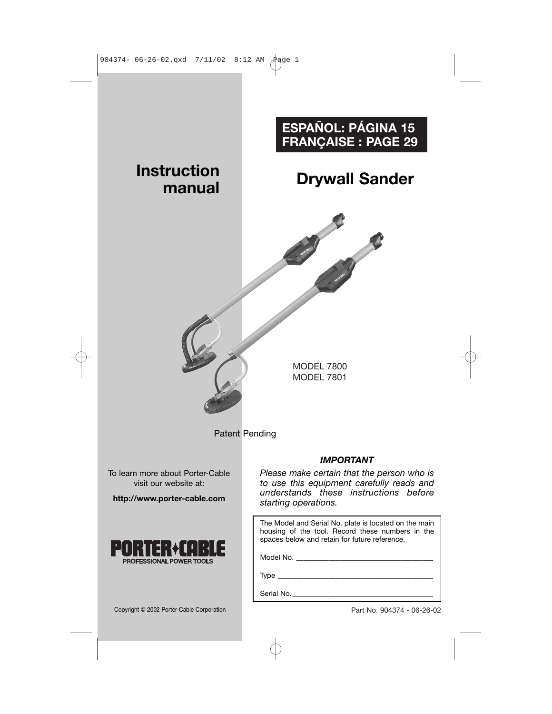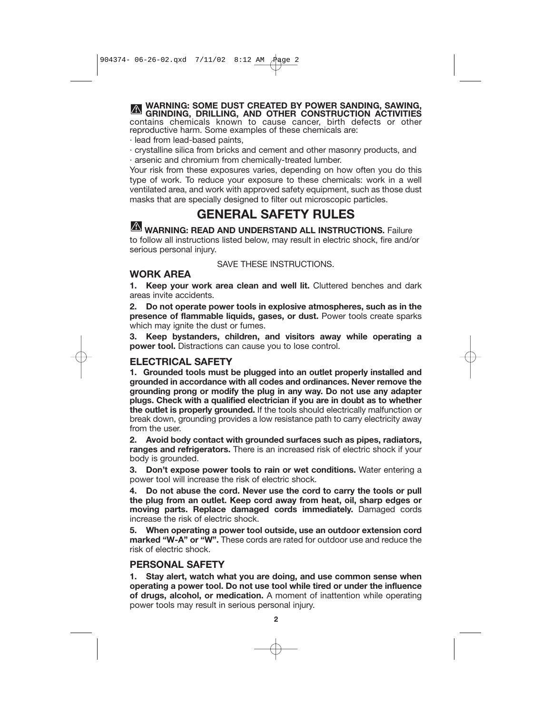**WARNING: SOME DUST CREATED BY POWER SANDING, SAWING, GRINDING, DRILLING, AND OTHER CONSTRUCTION ACTIVITIES** contains chemicals known to cause cancer, birth defects or other reproductive harm. Some examples of these chemicals are:

- · lead from lead-based paints,
- · crystalline silica from bricks and cement and other masonry products, and

· arsenic and chromium from chemically-treated lumber.

Your risk from these exposures varies, depending on how often you do this type of work. To reduce your exposure to these chemicals: work in a well ventilated area, and work with approved safety equipment, such as those dust masks that are specially designed to filter out microscopic particles.

# **GENERAL SAFETY RULES**

**WARNING: READ AND UNDERSTAND ALL INSTRUCTIONS.** Failure to follow all instructions listed below, may result in electric shock, fire and/or serious personal injury.

#### SAVE THESE INSTRUCTIONS.

#### **WORK AREA**

**1. Keep your work area clean and well lit.** Cluttered benches and dark areas invite accidents.

**2. Do not operate power tools in explosive atmospheres, such as in the presence of flammable liquids, gases, or dust.** Power tools create sparks which may ignite the dust or fumes.

**3. Keep bystanders, children, and visitors away while operating a power tool.** Distractions can cause you to lose control.

#### **ELECTRICAL SAFETY**

**1. Grounded tools must be plugged into an outlet properly installed and grounded in accordance with all codes and ordinances. Never remove the grounding prong or modify the plug in any way. Do not use any adapter plugs. Check with a qualified electrician if you are in doubt as to whether the outlet is properly grounded.** If the tools should electrically malfunction or break down, grounding provides a low resistance path to carry electricity away from the user.

**2. Avoid body contact with grounded surfaces such as pipes, radiators, ranges and refrigerators.** There is an increased risk of electric shock if your body is grounded.

**3. Don't expose power tools to rain or wet conditions.** Water entering a power tool will increase the risk of electric shock.

**4. Do not abuse the cord. Never use the cord to carry the tools or pull the plug from an outlet. Keep cord away from heat, oil, sharp edges or moving parts. Replace damaged cords immediately.** Damaged cords increase the risk of electric shock.

**5. When operating a power tool outside, use an outdoor extension cord marked "W-A" or "W".** These cords are rated for outdoor use and reduce the risk of electric shock.

#### **PERSONAL SAFETY**

**1. Stay alert, watch what you are doing, and use common sense when operating a power tool. Do not use tool while tired or under the influence of drugs, alcohol, or medication.** A moment of inattention while operating power tools may result in serious personal injury.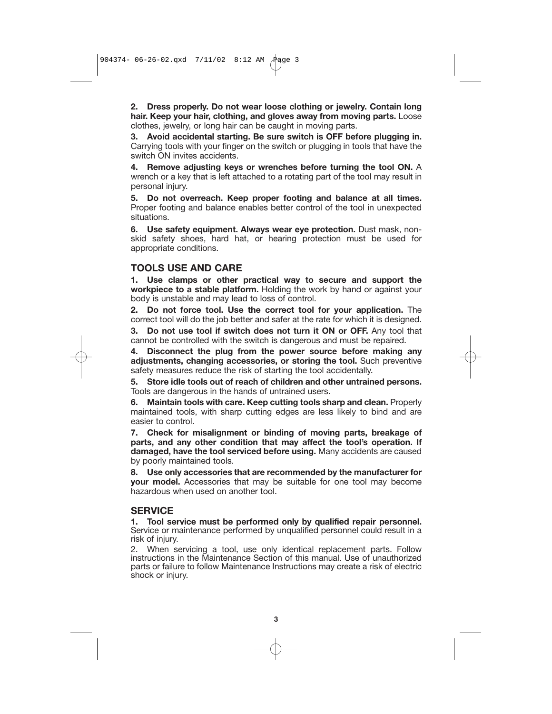**2. Dress properly. Do not wear loose clothing or jewelry. Contain long hair. Keep your hair, clothing, and gloves away from moving parts.** Loose clothes, jewelry, or long hair can be caught in moving parts.

**3. Avoid accidental starting. Be sure switch is OFF before plugging in.** Carrying tools with your finger on the switch or plugging in tools that have the switch ON invites accidents.

**4. Remove adjusting keys or wrenches before turning the tool ON.** A wrench or a key that is left attached to a rotating part of the tool may result in personal injury.

**5. Do not overreach. Keep proper footing and balance at all times.** Proper footing and balance enables better control of the tool in unexpected situations.

**6. Use safety equipment. Always wear eye protection.** Dust mask, nonskid safety shoes, hard hat, or hearing protection must be used for appropriate conditions.

#### **TOOLS USE AND CARE**

**1. Use clamps or other practical way to secure and support the workpiece to a stable platform.** Holding the work by hand or against your body is unstable and may lead to loss of control.

**2. Do not force tool. Use the correct tool for your application.** The correct tool will do the job better and safer at the rate for which it is designed.

**3. Do not use tool if switch does not turn it ON or OFF.** Any tool that cannot be controlled with the switch is dangerous and must be repaired.

**4. Disconnect the plug from the power source before making any adjustments, changing accessories, or storing the tool.** Such preventive safety measures reduce the risk of starting the tool accidentally.

**5. Store idle tools out of reach of children and other untrained persons.** Tools are dangerous in the hands of untrained users.

**6. Maintain tools with care. Keep cutting tools sharp and clean.** Properly maintained tools, with sharp cutting edges are less likely to bind and are easier to control.

**7. Check for misalignment or binding of moving parts, breakage of parts, and any other condition that may affect the tool's operation. If damaged, have the tool serviced before using.** Many accidents are caused by poorly maintained tools.

**8. Use only accessories that are recommended by the manufacturer for your model.** Accessories that may be suitable for one tool may become hazardous when used on another tool.

#### **SERVICE**

**1. Tool service must be performed only by qualified repair personnel.** Service or maintenance performed by unqualified personnel could result in a risk of injury.

2. When servicing a tool, use only identical replacement parts. Follow instructions in the Maintenance Section of this manual. Use of unauthorized parts or failure to follow Maintenance Instructions may create a risk of electric shock or injury.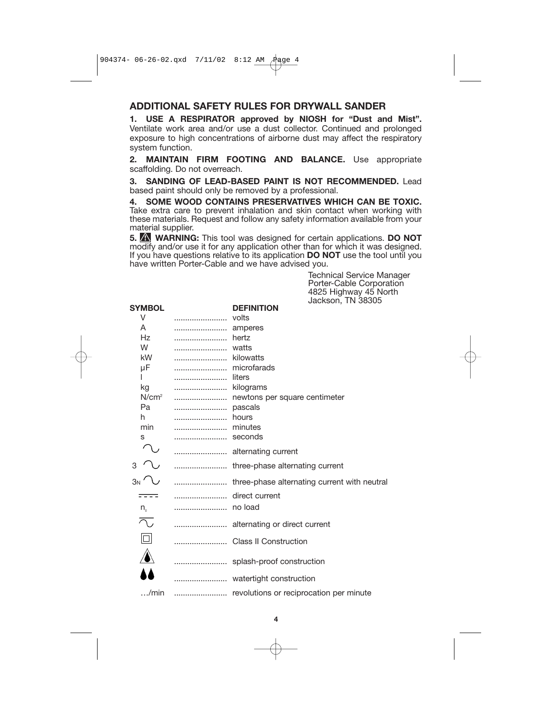# **ADDITIONAL SAFETY RULES FOR DRYWALL SANDER**

**1. USE A RESPIRATOR approved by NIOSH for "Dust and Mist".** Ventilate work area and/or use a dust collector. Continued and prolonged exposure to high concentrations of airborne dust may affect the respiratory system function.

**2. MAINTAIN FIRM FOOTING AND BALANCE.** Use appropriate scaffolding. Do not overreach.

**3. SANDING OF LEAD-BASED PAINT IS NOT RECOMMENDED.** Lead based paint should only be removed by a professional.

**4. SOME WOOD CONTAINS PRESERVATIVES WHICH CAN BE TOXIC.** Take extra care to prevent inhalation and skin contact when working with these materials. Request and follow any safety information available from your material supplier.

**5. WARNING:** This tool was designed for certain applications. **DO NOT** modify and/or use it for any application other than for which it was designed. If you have questions relative to its application **DO NOT** use the tool until you have written Porter-Cable and we have advised you.

> Technical Service Manager Porter-Cable Corporation 4825 Highway 45 North Jackson, TN 38305

|                               | <b>JACKSOH, TIN JOJUJ</b>                    |
|-------------------------------|----------------------------------------------|
| SYMBOL                        | <b>DEFINITION</b>                            |
| V                             | volts                                        |
| A                             | amperes                                      |
| Hz                            | hertz                                        |
| W                             | watts                                        |
| kW                            | kilowatts                                    |
| μF                            | microfarads                                  |
|                               | liters                                       |
| kg                            | kilograms                                    |
| N/cm <sup>2</sup>             | newtons per square centimeter                |
| Pa                            | pascals                                      |
| h                             | hours                                        |
| min                           | minutes                                      |
| s                             | seconds                                      |
|                               | alternating current                          |
| 3                             | three-phase alternating current              |
| 3N' V                         | three-phase alternating current with neutral |
|                               | direct current                               |
| $n_{\scriptscriptstyle\circ}$ |                                              |
| へ                             | alternating or direct current                |
| $\Box$                        | <b>Class II Construction</b>                 |
|                               | splash-proof construction                    |
|                               | watertight construction                      |
| /min                          | revolutions or reciprocation per minute      |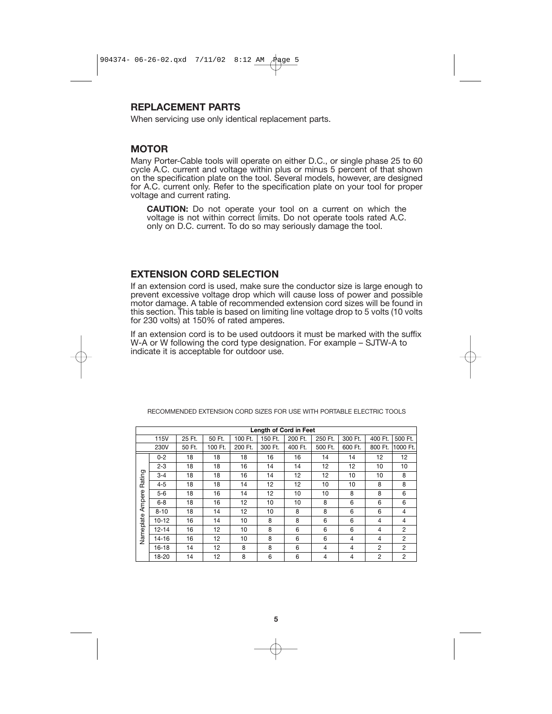#### **REPLACEMENT PARTS**

When servicing use only identical replacement parts.

#### **MOTOR**

Many Porter-Cable tools will operate on either D.C., or single phase 25 to 60 cycle A.C. current and voltage within plus or minus 5 percent of that shown on the specification plate on the tool. Several models, however, are designed for A.C. current only. Refer to the specification plate on your tool for proper voltage and current rating.

**CAUTION:** Do not operate your tool on a current on which the voltage is not within correct limits. Do not operate tools rated A.C. only on D.C. current. To do so may seriously damage the tool.

## **EXTENSION CORD SELECTION**

If an extension cord is used, make sure the conductor size is large enough to prevent excessive voltage drop which will cause loss of power and possible motor damage. A table of recommended extension cord sizes will be found in this section. This table is based on limiting line voltage drop to 5 volts (10 volts for 230 volts) at 150% of rated amperes.

If an extension cord is to be used outdoors it must be marked with the suffix W-A or W following the cord type designation. For example – SJTW-A to indicate it is acceptable for outdoor use.

| Length of Cord in Feet        |             |        |         |         |         |         |                |                |                |                |  |  |
|-------------------------------|-------------|--------|---------|---------|---------|---------|----------------|----------------|----------------|----------------|--|--|
|                               | <b>115V</b> | 25 Ft. | 50 Ft.  | 100 Ft. | 150 Ft. | 200 Ft. | 250 Ft.        | 300 Ft.        | 400 Ft.        | 500 Ft.        |  |  |
|                               | 230V        | 50 Ft. | 100 Ft. | 200 Ft. | 300 Ft. | 400 Ft. | 500 Ft.        | 600 Ft.        | 800 Ft.        | 1000 Ft.       |  |  |
| Rating<br>Ampere<br>Nameplate | $0 - 2$     | 18     | 18      | 18      | 16      | 16      | 14             | 14             | 12             | 12             |  |  |
|                               | $2 - 3$     | 18     | 18      | 16      | 14      | 14      | 12             | 12             | 10             | 10             |  |  |
|                               | $3 - 4$     | 18     | 18      | 16      | 14      | 12      | 12             | 10             | 10             | 8              |  |  |
|                               | $4 - 5$     | 18     | 18      | 14      | 12      | 12      | 10             | 10             | 8              | 8              |  |  |
|                               | $5-6$       | 18     | 16      | 14      | 12      | 10      | 10             | 8              | 8              | 6              |  |  |
|                               | $6 - 8$     | 18     | 16      | 12      | 10      | 10      | 8              | 6              | 6              | 6              |  |  |
|                               | $8 - 10$    | 18     | 14      | 12      | 10      | 8       | 8              | 6              | 6              | 4              |  |  |
|                               | $10 - 12$   | 16     | 14      | 10      | 8       | 8       | 6              | 6              | 4              | 4              |  |  |
|                               | $12 - 14$   | 16     | 12      | 10      | 8       | 6       | 6              | 6              | 4              | 2              |  |  |
|                               | 14-16       | 16     | 12      | 10      | 8       | 6       | 6              | 4              | 4              | $\overline{2}$ |  |  |
|                               | $16 - 18$   | 14     | 12      | 8       | 8       | 6       | $\overline{4}$ | 4              | 2              | 2              |  |  |
|                               | 18-20       | 14     | 12      | 8       | 6       | 6       | 4              | $\overline{4}$ | $\overline{2}$ | $\overline{2}$ |  |  |

RECOMMENDED EXTENSION CORD SIZES FOR USE WITH PORTABLE ELECTRIC TOOLS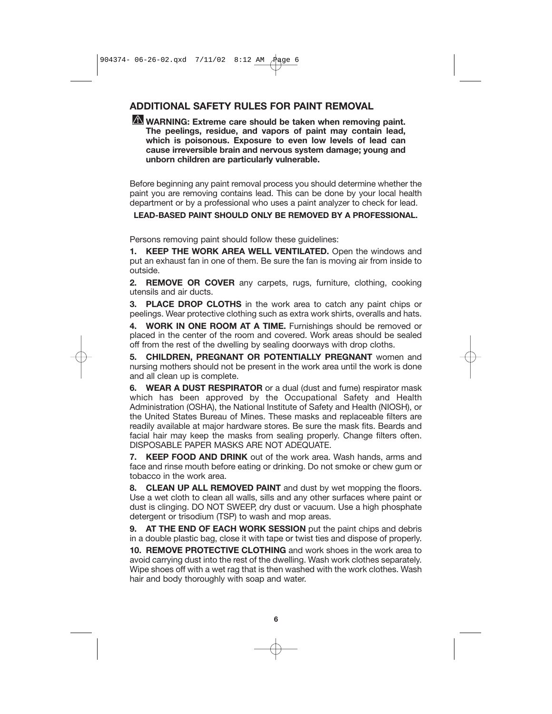# **ADDITIONAL SAFETY RULES FOR PAINT REMOVAL**

#### **WARNING: Extreme care should be taken when removing paint. The peelings, residue, and vapors of paint may contain lead, which is poisonous. Exposure to even low levels of lead can cause irreversible brain and nervous system damage; young and unborn children are particularly vulnerable.**

Before beginning any paint removal process you should determine whether the paint you are removing contains lead. This can be done by your local health department or by a professional who uses a paint analyzer to check for lead.

**LEAD-BASED PAINT SHOULD ONLY BE REMOVED BY A PROFESSIONAL.**

Persons removing paint should follow these guidelines:

**1. KEEP THE WORK AREA WELL VENTILATED.** Open the windows and put an exhaust fan in one of them. Be sure the fan is moving air from inside to outside.

**2. REMOVE OR COVER** any carpets, rugs, furniture, clothing, cooking utensils and air ducts.

**3. PLACE DROP CLOTHS** in the work area to catch any paint chips or peelings. Wear protective clothing such as extra work shirts, overalls and hats.

**4. WORK IN ONE ROOM AT A TIME.** Furnishings should be removed or placed in the center of the room and covered. Work areas should be sealed off from the rest of the dwelling by sealing doorways with drop cloths.

**5. CHILDREN, PREGNANT OR POTENTIALLY PREGNANT** women and nursing mothers should not be present in the work area until the work is done and all clean up is complete.

**6. WEAR A DUST RESPIRATOR** or a dual (dust and fume) respirator mask which has been approved by the Occupational Safety and Health Administration (OSHA), the National Institute of Safety and Health (NIOSH), or the United States Bureau of Mines. These masks and replaceable filters are readily available at major hardware stores. Be sure the mask fits. Beards and facial hair may keep the masks from sealing properly. Change filters often. DISPOSABLE PAPER MASKS ARE NOT ADEQUATE.

**7. KEEP FOOD AND DRINK** out of the work area. Wash hands, arms and face and rinse mouth before eating or drinking. Do not smoke or chew gum or tobacco in the work area.

**8. CLEAN UP ALL REMOVED PAINT** and dust by wet mopping the floors. Use a wet cloth to clean all walls, sills and any other surfaces where paint or dust is clinging. DO NOT SWEEP, dry dust or vacuum. Use a high phosphate detergent or trisodium (TSP) to wash and mop areas.

**9. AT THE END OF EACH WORK SESSION** put the paint chips and debris in a double plastic bag, close it with tape or twist ties and dispose of properly.

**10. REMOVE PROTECTIVE CLOTHING** and work shoes in the work area to avoid carrying dust into the rest of the dwelling. Wash work clothes separately. Wipe shoes off with a wet rag that is then washed with the work clothes. Wash hair and body thoroughly with soap and water.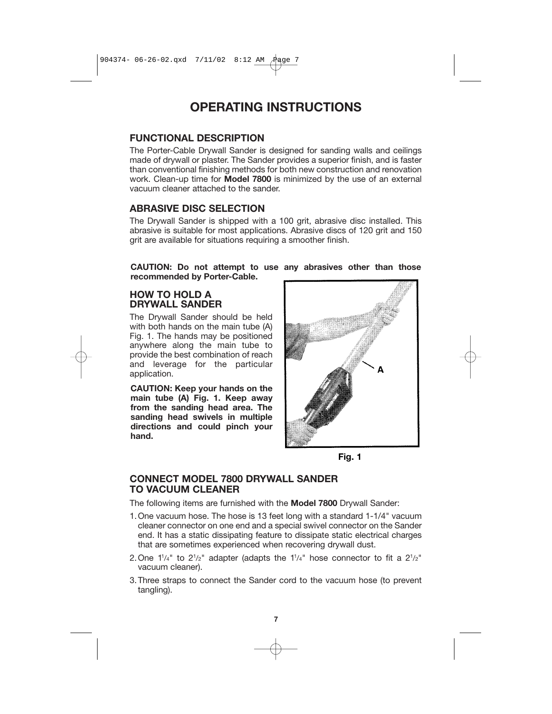# **OPERATING INSTRUCTIONS**

#### **FUNCTIONAL DESCRIPTION**

The Porter-Cable Drywall Sander is designed for sanding walls and ceilings made of drywall or plaster. The Sander provides a superior finish, and is faster than conventional finishing methods for both new construction and renovation work. Clean-up time for **Model 7800** is minimized by the use of an external vacuum cleaner attached to the sander.

# **ABRASIVE DISC SELECTION**

The Drywall Sander is shipped with a 100 grit, abrasive disc installed. This abrasive is suitable for most applications. Abrasive discs of 120 grit and 150 grit are available for situations requiring a smoother finish.

**CAUTION: Do not attempt to use any abrasives other than those recommended by Porter-Cable.**

### **HOW TO HOLD A DRYWALL SANDER**

The Drywall Sander should be held with both hands on the main tube (A) Fig. 1. The hands may be positioned anywhere along the main tube to provide the best combination of reach and leverage for the particular application.

**CAUTION: Keep your hands on the main tube (A) Fig. 1. Keep away from the sanding head area. The sanding head swivels in multiple directions and could pinch your hand.**





### **CONNECT MODEL 7800 DRYWALL SANDER TO VACUUM CLEANER**

The following items are furnished with the **Model 7800** Drywall Sander:

- 1.One vacuum hose. The hose is 13 feet long with a standard 1-1/4" vacuum cleaner connector on one end and a special swivel connector on the Sander end. It has a static dissipating feature to dissipate static electrical charges that are sometimes experienced when recovering drywall dust.
- 2. One  $1^{1}/4"$  to  $2^{1}/2"$  adapter (adapts the  $1^{1}/4"$  hose connector to fit a  $2^{1}/2"$ vacuum cleaner).
- 3.Three straps to connect the Sander cord to the vacuum hose (to prevent tangling).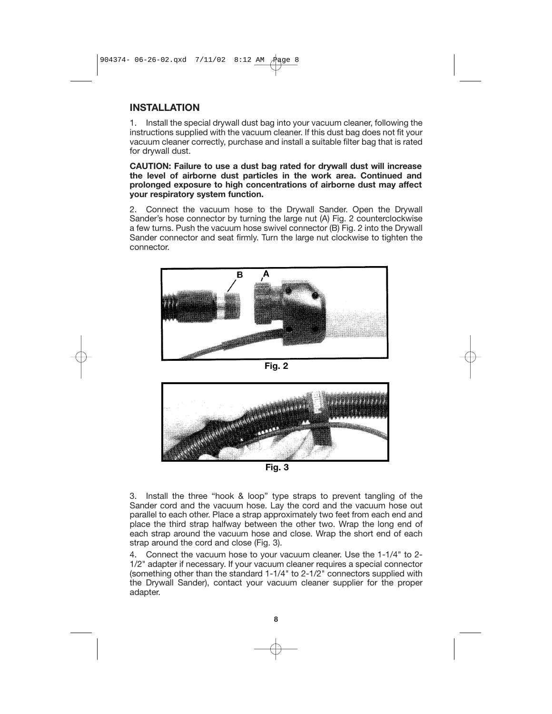#### **INSTALLATION**

1. Install the special drywall dust bag into your vacuum cleaner, following the instructions supplied with the vacuum cleaner. If this dust bag does not fit your vacuum cleaner correctly, purchase and install a suitable filter bag that is rated for drywall dust.

**CAUTION: Failure to use a dust bag rated for drywall dust will increase the level of airborne dust particles in the work area. Continued and prolonged exposure to high concentrations of airborne dust may affect your respiratory system function.**

2. Connect the vacuum hose to the Drywall Sander. Open the Drywall Sander's hose connector by turning the large nut (A) Fig. 2 counterclockwise a few turns. Push the vacuum hose swivel connector (B) Fig. 2 into the Drywall Sander connector and seat firmly. Turn the large nut clockwise to tighten the connector.



**Fig. 2**



**Fig. 3**

3. Install the three "hook & loop" type straps to prevent tangling of the Sander cord and the vacuum hose. Lay the cord and the vacuum hose out parallel to each other. Place a strap approximately two feet from each end and place the third strap halfway between the other two. Wrap the long end of each strap around the vacuum hose and close. Wrap the short end of each strap around the cord and close (Fig. 3).

4. Connect the vacuum hose to your vacuum cleaner. Use the 1-1/4" to 2- 1/2" adapter if necessary. If your vacuum cleaner requires a special connector (something other than the standard 1-1/4" to 2-1/2" connectors supplied with the Drywall Sander), contact your vacuum cleaner supplier for the proper adapter.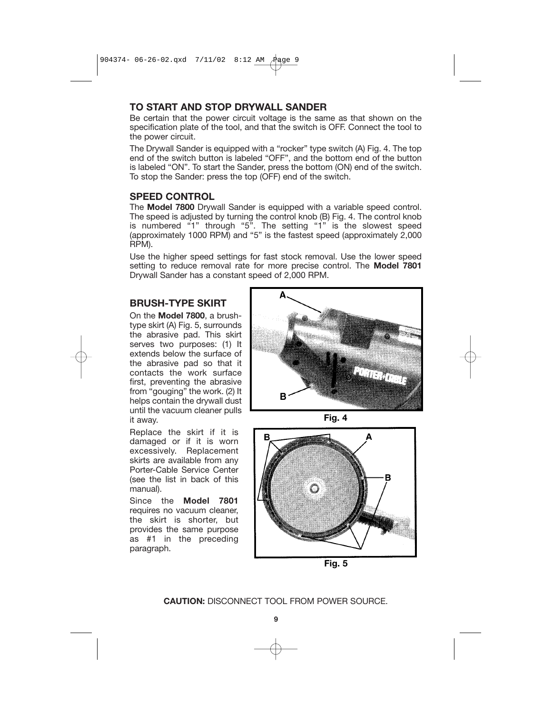### **TO START AND STOP DRYWALL SANDER**

Be certain that the power circuit voltage is the same as that shown on the specification plate of the tool, and that the switch is OFF. Connect the tool to the power circuit.

The Drywall Sander is equipped with a "rocker" type switch (A) Fig. 4. The top end of the switch button is labeled "OFF", and the bottom end of the button is labeled "ON". To start the Sander, press the bottom (ON) end of the switch. To stop the Sander: press the top (OFF) end of the switch.

#### **SPEED CONTROL**

The **Model 7800** Drywall Sander is equipped with a variable speed control. The speed is adjusted by turning the control knob (B) Fig. 4. The control knob is numbered "1" through "5". The setting "1" is the slowest speed (approximately 1000 RPM) and "5" is the fastest speed (approximately 2,000 RPM).

Use the higher speed settings for fast stock removal. Use the lower speed setting to reduce removal rate for more precise control. The **Model 7801** Drywall Sander has a constant speed of 2,000 RPM.

### **BRUSH-TYPE SKIRT**

On the **Model 7800**, a brushtype skirt (A) Fig. 5, surrounds the abrasive pad. This skirt serves two purposes: (1) It extends below the surface of the abrasive pad so that it contacts the work surface first, preventing the abrasive from "gouging" the work. (2) It helps contain the drywall dust until the vacuum cleaner pulls it away.

Replace the skirt if it is damaged or if it is worn excessively. Replacement skirts are available from any Porter-Cable Service Center (see the list in back of this manual).

Since the **Model 7801** requires no vacuum cleaner, the skirt is shorter, but provides the same purpose as #1 in the preceding paragraph.







**Fig. 5**

**CAUTION:** DISCONNECT TOOL FROM POWER SOURCE.

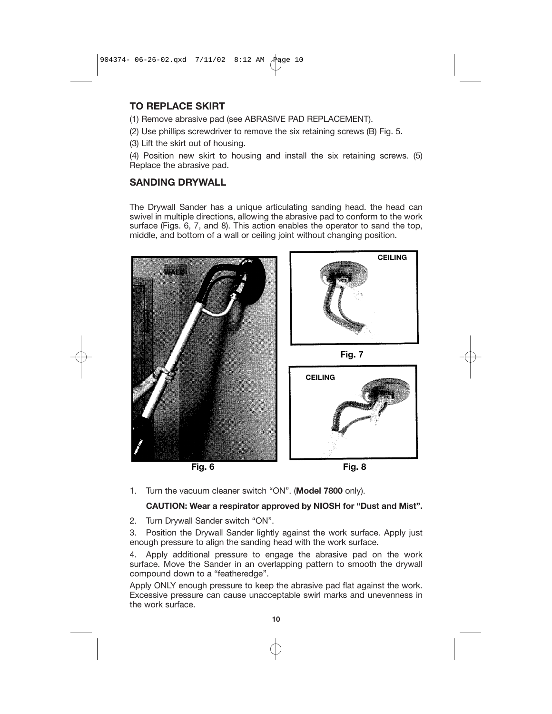# **TO REPLACE SKIRT**

(1) Remove abrasive pad (see ABRASIVE PAD REPLACEMENT).

(2) Use phillips screwdriver to remove the six retaining screws (B) Fig. 5.

(3) Lift the skirt out of housing.

(4) Position new skirt to housing and install the six retaining screws. (5) Replace the abrasive pad.

### **SANDING DRYWALL**

The Drywall Sander has a unique articulating sanding head. the head can swivel in multiple directions, allowing the abrasive pad to conform to the work surface (Figs. 6, 7, and 8). This action enables the operator to sand the top, middle, and bottom of a wall or ceiling joint without changing position.



1. Turn the vacuum cleaner switch "ON". (**Model 7800** only).

### **CAUTION: Wear a respirator approved by NIOSH for "Dust and Mist".**

2. Turn Drywall Sander switch "ON".

3. Position the Drywall Sander lightly against the work surface. Apply just enough pressure to align the sanding head with the work surface.

4. Apply additional pressure to engage the abrasive pad on the work surface. Move the Sander in an overlapping pattern to smooth the drywall compound down to a "featheredge".

Apply ONLY enough pressure to keep the abrasive pad flat against the work. Excessive pressure can cause unacceptable swirl marks and unevenness in the work surface.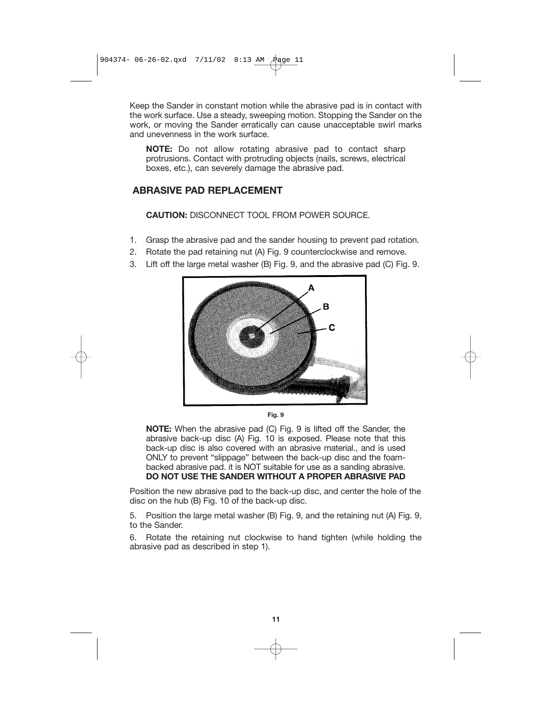Keep the Sander in constant motion while the abrasive pad is in contact with the work surface. Use a steady, sweeping motion. Stopping the Sander on the work, or moving the Sander erratically can cause unacceptable swirl marks and unevenness in the work surface.

**NOTE:** Do not allow rotating abrasive pad to contact sharp protrusions. Contact with protruding objects (nails, screws, electrical boxes, etc.), can severely damage the abrasive pad.

# **ABRASIVE PAD REPLACEMENT**

#### **CAUTION:** DISCONNECT TOOL FROM POWER SOURCE.

- 1. Grasp the abrasive pad and the sander housing to prevent pad rotation.
- 2. Rotate the pad retaining nut (A) Fig. 9 counterclockwise and remove.
- 3. Lift off the large metal washer (B) Fig. 9, and the abrasive pad (C) Fig. 9.



**Fig. 9**

**NOTE:** When the abrasive pad (C) Fig. 9 is lifted off the Sander, the abrasive back-up disc (A) Fig. 10 is exposed. Please note that this back-up disc is also covered with an abrasive material., and is used ONLY to prevent "slippage" between the back-up disc and the foambacked abrasive pad. it is NOT suitable for use as a sanding abrasive. **DO NOT USE THE SANDER WITHOUT A PROPER ABRASIVE PAD** 

Position the new abrasive pad to the back-up disc, and center the hole of the disc on the hub (B) Fig. 10 of the back-up disc.

5. Position the large metal washer (B) Fig. 9, and the retaining nut (A) Fig. 9, to the Sander.

6. Rotate the retaining nut clockwise to hand tighten (while holding the abrasive pad as described in step 1).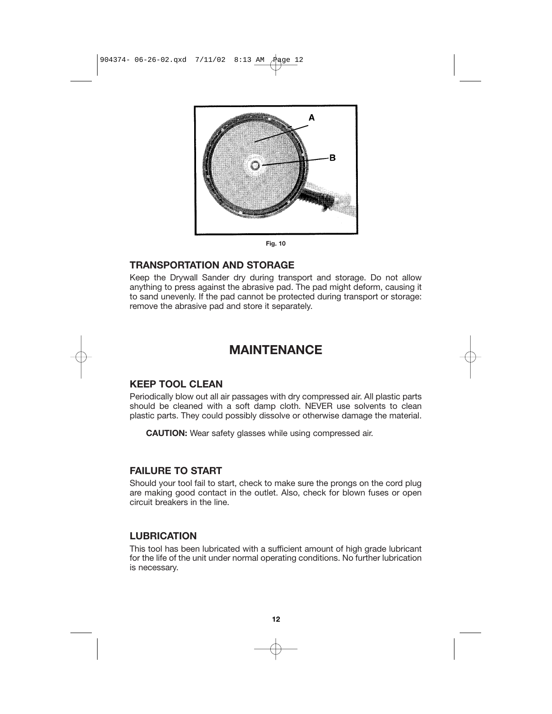904374- 06-26-02.qxd 7/11/02 8:13 AM Page 12



**Fig. 10**

### **TRANSPORTATION AND STORAGE**

Keep the Drywall Sander dry during transport and storage. Do not allow anything to press against the abrasive pad. The pad might deform, causing it to sand unevenly. If the pad cannot be protected during transport or storage: remove the abrasive pad and store it separately.

# **MAINTENANCE**

# **KEEP TOOL CLEAN**

Periodically blow out all air passages with dry compressed air. All plastic parts should be cleaned with a soft damp cloth. NEVER use solvents to clean plastic parts. They could possibly dissolve or otherwise damage the material.

**CAUTION:** Wear safety glasses while using compressed air.

## **FAILURE TO START**

Should your tool fail to start, check to make sure the prongs on the cord plug are making good contact in the outlet. Also, check for blown fuses or open circuit breakers in the line.

## **LUBRICATION**

This tool has been lubricated with a sufficient amount of high grade lubricant for the life of the unit under normal operating conditions. No further lubrication is necessary.

**12**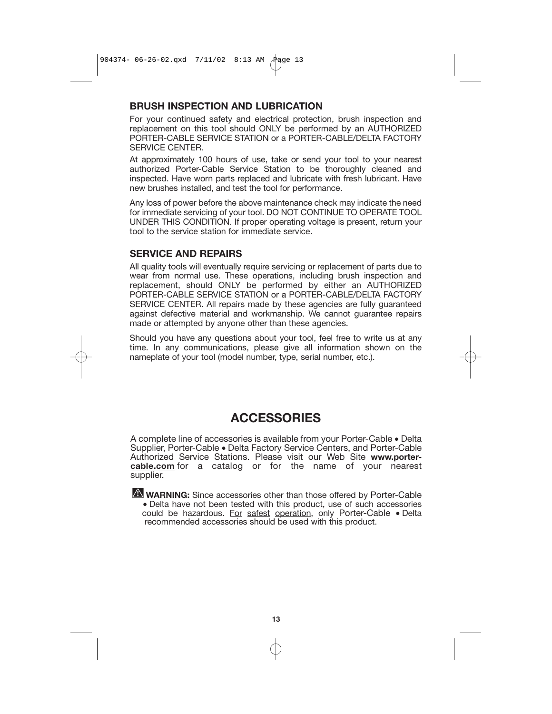#### **BRUSH INSPECTION AND LUBRICATION**

For your continued safety and electrical protection, brush inspection and replacement on this tool should ONLY be performed by an AUTHORIZED PORTER-CABLE SERVICE STATION or a PORTER-CABLE/DELTA FACTORY SERVICE CENTER.

At approximately 100 hours of use, take or send your tool to your nearest authorized Porter-Cable Service Station to be thoroughly cleaned and inspected. Have worn parts replaced and lubricate with fresh lubricant. Have new brushes installed, and test the tool for performance.

Any loss of power before the above maintenance check may indicate the need for immediate servicing of your tool. DO NOT CONTINUE TO OPERATE TOOL UNDER THIS CONDITION. If proper operating voltage is present, return your tool to the service station for immediate service.

# **SERVICE AND REPAIRS**

All quality tools will eventually require servicing or replacement of parts due to wear from normal use. These operations, including brush inspection and replacement, should ONLY be performed by either an AUTHORIZED PORTER-CABLE SERVICE STATION or a PORTER-CABLE/DELTA FACTORY SERVICE CENTER. All repairs made by these agencies are fully guaranteed against defective material and workmanship. We cannot guarantee repairs made or attempted by anyone other than these agencies.

Should you have any questions about your tool, feel free to write us at any time. In any communications, please give all information shown on the nameplate of your tool (model number, type, serial number, etc.).

# **ACCESSORIES**

A complete line of accessories is available from your Porter-Cable • Delta Supplier, Porter-Cable • Delta Factory Service Centers, and Porter-Cable Authorized Service Stations. Please visit our Web Site **www.portercable.com** for a catalog or for the name of your nearest supplier.

**WARNING:** Since accessories other than those offered by Porter-Cable • Delta have not been tested with this product, use of such accessories could be hazardous. For safest operation, only Porter-Cable • Delta recommended accessories should be used with this product.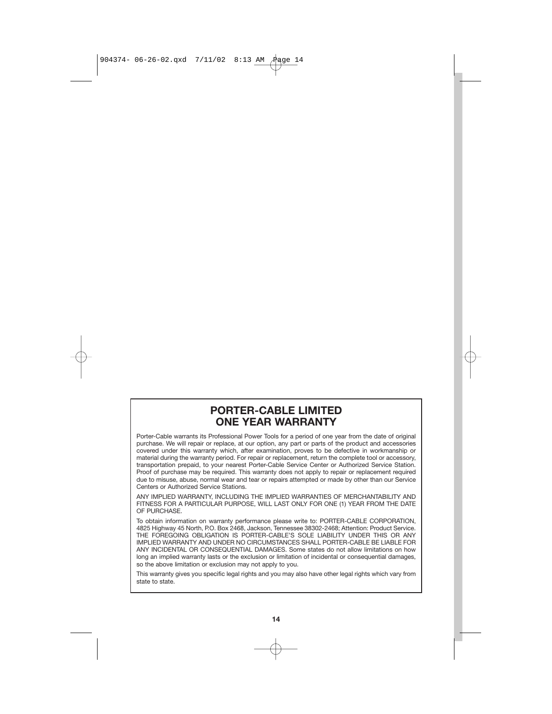904374- 06-26-02.qxd 7/11/02 8:13 AM Page 14

# **PORTER-CABLE LIMITED ONE YEAR WARRANTY**

Porter-Cable warrants its Professional Power Tools for a period of one year from the date of original purchase. We will repair or replace, at our option, any part or parts of the product and accessories covered under this warranty which, after examination, proves to be defective in workmanship or material during the warranty period. For repair or replacement, return the complete tool or accessory, transportation prepaid, to your nearest Porter-Cable Service Center or Authorized Service Station. Proof of purchase may be required. This warranty does not apply to repair or replacement required due to misuse, abuse, normal wear and tear or repairs attempted or made by other than our Service Centers or Authorized Service Stations.

ANY IMPLIED WARRANTY, INCLUDING THE IMPLIED WARRANTIES OF MERCHANTABILITY AND FITNESS FOR A PARTICULAR PURPOSE, WILL LAST ONLY FOR ONE (1) YEAR FROM THE DATE OF PURCHASE.

To obtain information on warranty performance please write to: PORTER-CABLE CORPORATION, 4825 Highway 45 North, P.O. Box 2468, Jackson, Tennessee 38302-2468; Attention: Product Service. THE FOREGOING OBLIGATION IS PORTER-CABLE'S SOLE LIABILITY UNDER THIS OR ANY IMPLIED WARRANTY AND UNDER NO CIRCUMSTANCES SHALL PORTER-CABLE BE LIABLE FOR ANY INCIDENTAL OR CONSEQUENTIAL DAMAGES. Some states do not allow limitations on how long an implied warranty lasts or the exclusion or limitation of incidental or consequential damages, so the above limitation or exclusion may not apply to you.

This warranty gives you specific legal rights and you may also have other legal rights which vary from state to state.